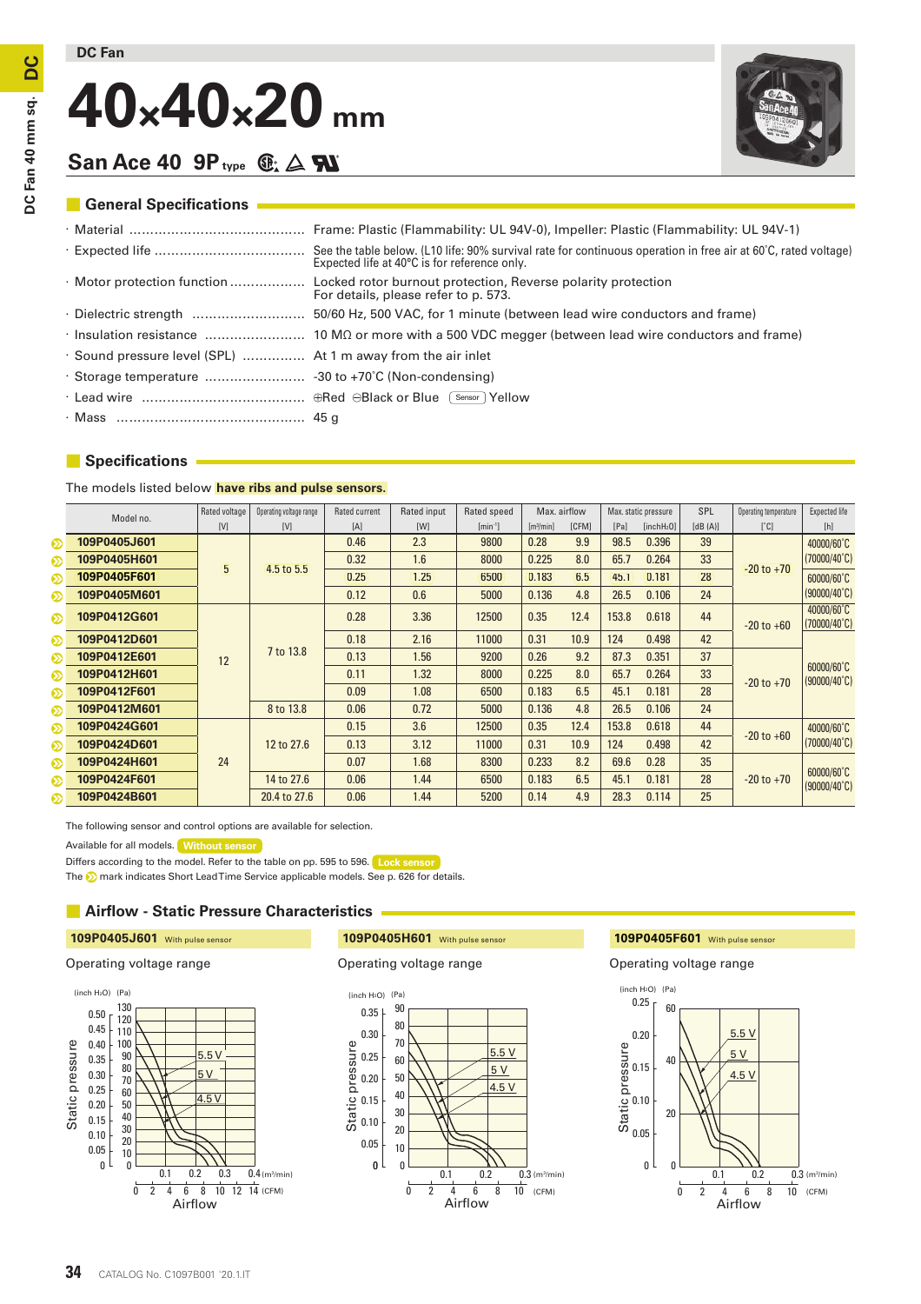# **40×40×20 mm**



# San Ace 40 9P<sub>**type**  $\mathbb{G}_2 \triangle \mathbf{F}$ </sub>

# $\blacksquare$  General Specifications

|                                                              | Expected life at 40°C is for reference only.                                                                                      |
|--------------------------------------------------------------|-----------------------------------------------------------------------------------------------------------------------------------|
|                                                              | · Motor protection function  Locked rotor burnout protection, Reverse polarity protection<br>For details, please refer to p. 573. |
|                                                              |                                                                                                                                   |
|                                                              |                                                                                                                                   |
| . Sound pressure level (SPL)  At 1 m away from the air inlet |                                                                                                                                   |
|                                                              |                                                                                                                                   |
|                                                              |                                                                                                                                   |
|                                                              |                                                                                                                                   |
|                                                              |                                                                                                                                   |

# **• Specifications**

The models listed below **have ribs and pulse sensors.**

|   | Model no.    | Rated voltage  | Operating voltage range | Rated current | Rated input | Rated speed  |                       | Max. airflow | Max. static pressure |                        | SPL     | Operating temperature | Expected life                       |
|---|--------------|----------------|-------------------------|---------------|-------------|--------------|-----------------------|--------------|----------------------|------------------------|---------|-----------------------|-------------------------------------|
|   |              | [V]            | [V]                     | [A]           | [W]         | $[min^{-1}]$ | [m <sup>3</sup> /min] | [CFM]        | [Pa]                 | [inchH <sub>2</sub> O] | [dB(A)] | $\lceil$ °C]          | [h]                                 |
| စ | 109P0405J601 | 5 <sup>1</sup> | 4.5 to 5.5              | 0.46          | 2.3         | 9800         | 0.28                  | 9.9          | 98.5                 | 0.396                  | 39      | $-20$ to $+70$        | 40000/60°C                          |
| စ | 109P0405H601 |                |                         | 0.32          | 1.6         | 8000         | 0.225                 | 8.0          | 65.7                 | 0.264                  | 33      |                       | $(70000/40^{\circ}C)$               |
| စ | 109P0405F601 |                |                         | 0.25          | 1.25        | 6500         | 0.183                 | 6.5          | 45.1                 | 0.181                  | 28      |                       | 60000/60°C                          |
| ⊗ | 109P0405M601 |                |                         | 0.12          | 0.6         | 5000         | 0.136                 | 4.8          | 26.5                 | 0.106                  | 24      |                       | $(90000/40^{\circ}C)$               |
| ⊗ | 109P0412G601 | 12             | 7 to 13.8               | 0.28          | 3.36        | 12500        | 0.35                  | 12.4         | 153.8                | 0.618                  | 44      | $-20$ to $+60$        | 40000/60°C<br>$(70000/40^{\circ}C)$ |
| စ | 109P0412D601 |                |                         | 0.18          | 2.16        | 11000        | 0.31                  | 10.9         | 124                  | 0.498                  | 42      |                       | 60000/60°C<br>$(90000/40^{\circ}C)$ |
| စ | 109P0412E601 |                |                         | 0.13          | 1.56        | 9200         | 0.26                  | 9.2          | 87.3                 | 0.351                  | 37      | $-20$ to $+70$        |                                     |
| စ | 109P0412H601 |                |                         | 0.11          | 1.32        | 8000         | 0.225                 | 8.0          | 65.7                 | 0.264                  | 33      |                       |                                     |
| ⊗ | 109P0412F601 |                |                         | 0.09          | 1.08        | 6500         | 0.183                 | 6.5          | 45.1                 | 0.181                  | 28      |                       |                                     |
| စ | 109P0412M601 |                | 8 to 13.8               | 0.06          | 0.72        | 5000         | 0.136                 | 4.8          | 26.5                 | 0.106                  | 24      |                       |                                     |
| ⊗ | 109P0424G601 | 24             | 12 to 27.6              | 0.15          | 3.6         | 12500        | 0.35                  | 12.4         | 153.8                | 0.618                  | 44      | $-20$ to $+60$        | 40000/60°C<br>$(70000/40^{\circ}C)$ |
| စ | 109P0424D601 |                |                         | 0.13          | 3.12        | 11000        | 0.31                  | 10.9         | 124                  | 0.498                  | 42      |                       |                                     |
| စ | 109P0424H601 |                |                         | 0.07          | 1.68        | 8300         | 0.233                 | 8.2          | 69.6                 | 0.28                   | 35      | $-20$ to $+70$        | 60000/60°C<br>$(90000/40^{\circ}C)$ |
| စ | 109P0424F601 |                | 14 to 27.6              | 0.06          | 1.44        | 6500         | 0.183                 | 6.5          | 45.1                 | 0.181                  | 28      |                       |                                     |
| ⊗ | 109P0424B601 |                | 20.4 to 27.6            | 0.06          | 1.44        | 5200         | 0.14                  | 4.9          | 28.3                 | 0.114                  | 25      |                       |                                     |

The following sensor and control options are available for selection.

Available for all models. **Without sensor**

Differs according to the model. Refer to the table on pp. 595 to 596. **Lock sensor**

The **D** mark indicates Short Lead Time Service applicable models. See p. 626 for details.

# **■** Airflow - Static Pressure Characteristics



**109P0405J601** With pulse sensor **109P0405H601** With pulse sensor **109P0405F601** With pulse sensor



# 109P0405F601 With pulse sensor

Operating voltage range Operating voltage range Operating voltage range

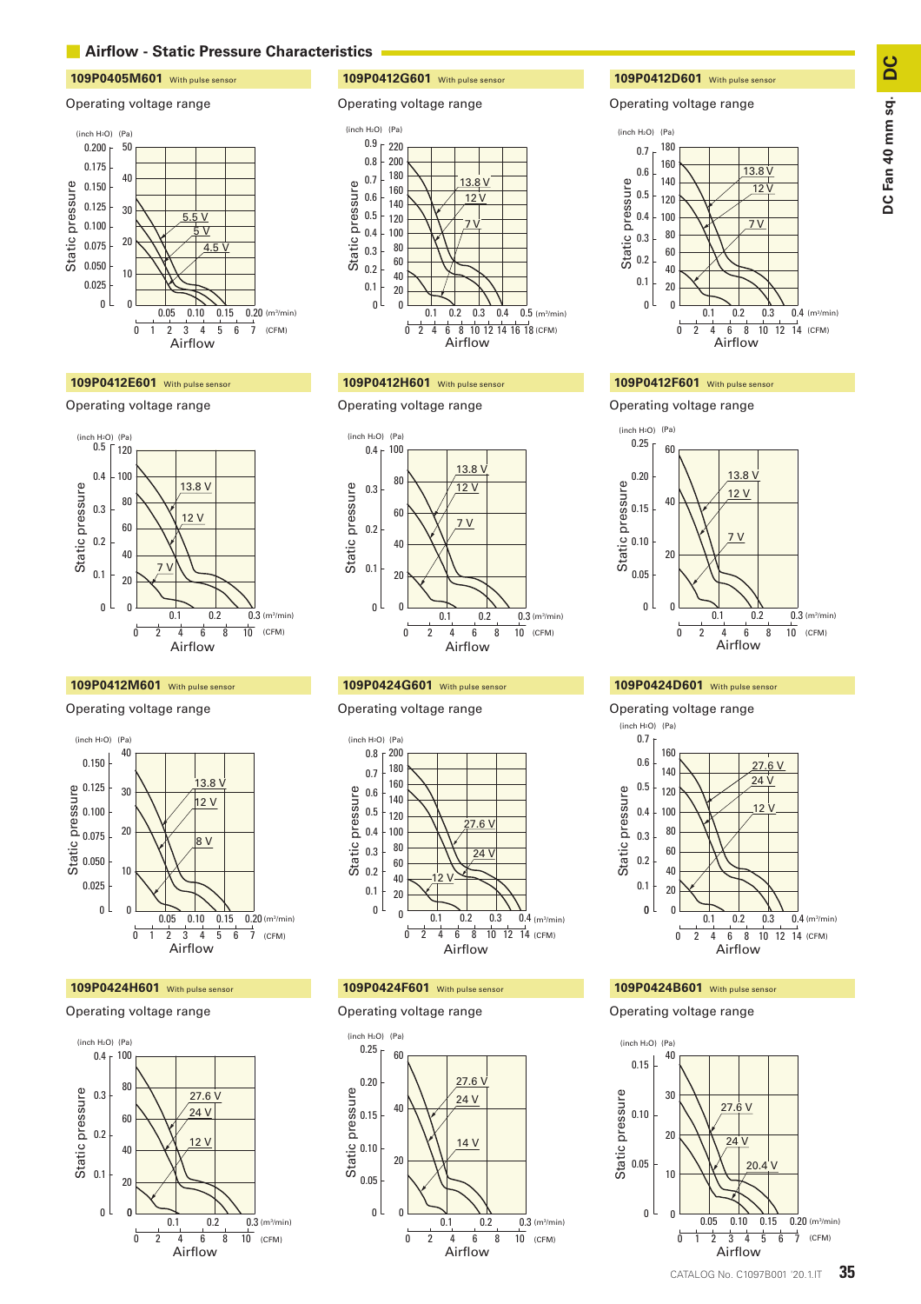# **■** Airflow - Static Pressure Characteristics

# **109P0405M601** With pulse sensor **109P0412G601** With pulse sensor **109P0412D601** With pulse sensor

### Operating voltage range Operating voltage range Operating voltage range



### **109P0412E601** With pulse sensor **109P0412H601** With pulse sensor **109P0412F601** With pulse sensor

# Operating voltage range



### **109P0412M601** With pulse sensor **109P0424G601** With pulse sensor **109P0424D601** With pulse sensor

### Operating voltage range



### Operating voltage range







## Operating voltage range



### Operating voltage range





### Operating voltage range





Operating voltage range